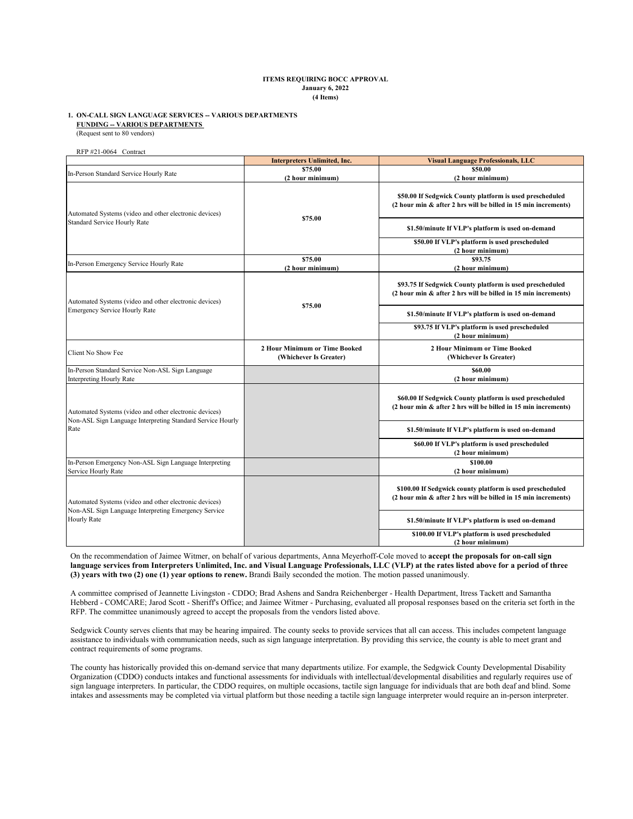### **ITEMS REQUIRING BOCC APPROVAL January 6, 2022 (4 Items)**

### (Request sent to 80 vendors) **1. ON-CALL SIGN LANGUAGE SERVICES -- VARIOUS DEPARTMENTS FUNDING -- VARIOUS DEPARTMENTS**

RFP #21-0064 Contract

|                                                                                                                               | <b>Interpreters Unlimited, Inc.</b>                     | <b>Visual Language Professionals, LLC</b>                                                                                   |
|-------------------------------------------------------------------------------------------------------------------------------|---------------------------------------------------------|-----------------------------------------------------------------------------------------------------------------------------|
| In-Person Standard Service Hourly Rate                                                                                        | \$75.00<br>(2 hour minimum)                             | \$50.00<br>(2 hour minimum)                                                                                                 |
| Automated Systems (video and other electronic devices)<br>Standard Service Hourly Rate                                        | \$75.00                                                 | \$50.00 If Sedgwick County platform is used prescheduled<br>(2 hour min & after 2 hrs will be billed in 15 min increments)  |
|                                                                                                                               |                                                         | \$1.50/minute If VLP's platform is used on-demand                                                                           |
|                                                                                                                               |                                                         | \$50.00 If VLP's platform is used prescheduled<br>(2 hour minimum)                                                          |
| In-Person Emergency Service Hourly Rate                                                                                       | \$75.00<br>(2 hour minimum)                             | \$93.75<br>(2 hour minimum)                                                                                                 |
| Automated Systems (video and other electronic devices)<br><b>Emergency Service Hourly Rate</b>                                |                                                         | \$93.75 If Sedgwick County platform is used prescheduled<br>(2 hour min & after 2 hrs will be billed in 15 min increments)  |
|                                                                                                                               | \$75.00                                                 | \$1.50/minute If VLP's platform is used on-demand                                                                           |
|                                                                                                                               |                                                         | \$93.75 If VLP's platform is used prescheduled<br>(2 hour minimum)                                                          |
| Client No Show Fee                                                                                                            | 2 Hour Minimum or Time Booked<br>(Whichever Is Greater) | 2 Hour Minimum or Time Booked<br>(Whichever Is Greater)                                                                     |
| In-Person Standard Service Non-ASL Sign Language<br><b>Interpreting Hourly Rate</b>                                           |                                                         | \$60.00<br>(2 hour minimum)                                                                                                 |
| Automated Systems (video and other electronic devices)<br>Non-ASL Sign Language Interpreting Standard Service Hourly<br>Rate  |                                                         | \$60.00 If Sedgwick County platform is used prescheduled<br>(2 hour min & after 2 hrs will be billed in 15 min increments)  |
|                                                                                                                               |                                                         | \$1.50/minute If VLP's platform is used on-demand                                                                           |
|                                                                                                                               |                                                         | \$60.00 If VLP's platform is used prescheduled<br>(2 hour minimum)                                                          |
| In-Person Emergency Non-ASL Sign Language Interpreting<br>Service Hourly Rate                                                 |                                                         | \$100.00<br>(2 hour minimum)                                                                                                |
| Automated Systems (video and other electronic devices)<br>Non-ASL Sign Language Interpreting Emergency Service<br>Hourly Rate |                                                         | \$100.00 If Sedgwick county platform is used prescheduled<br>(2 hour min & after 2 hrs will be billed in 15 min increments) |
|                                                                                                                               |                                                         | \$1.50/minute If VLP's platform is used on-demand                                                                           |
|                                                                                                                               |                                                         | \$100.00 If VLP's platform is used prescheduled<br>(2 hour minimum)                                                         |

On the recommendation of Jaimee Witmer, on behalf of various departments, Anna Meyerhoff-Cole moved to **accept the proposals for on-call sign language services from Interpreters Unlimited, Inc. and Visual Language Professionals, LLC (VLP) at the rates listed above for a period of three (3) years with two (2) one (1) year options to renew.** Brandi Baily seconded the motion. The motion passed unanimously.

A committee comprised of Jeannette Livingston - CDDO; Brad Ashens and Sandra Reichenberger - Health Department, Itress Tackett and Samantha Hebberd - COMCARE; Jarod Scott - Sheriff's Office; and Jaimee Witmer - Purchasing, evaluated all proposal responses based on the criteria set forth in the RFP. The committee unanimously agreed to accept the proposals from the vendors listed above.

Sedgwick County serves clients that may be hearing impaired. The county seeks to provide services that all can access. This includes competent language assistance to individuals with communication needs, such as sign language interpretation. By providing this service, the county is able to meet grant and contract requirements of some programs.

The county has historically provided this on-demand service that many departments utilize. For example, the Sedgwick County Developmental Disability Organization (CDDO) conducts intakes and functional assessments for individuals with intellectual/developmental disabilities and regularly requires use of sign language interpreters. In particular, the CDDO requires, on multiple occasions, tactile sign language for individuals that are both deaf and blind. Some intakes and assessments may be completed via virtual platform but those needing a tactile sign language interpreter would require an in-person interpreter.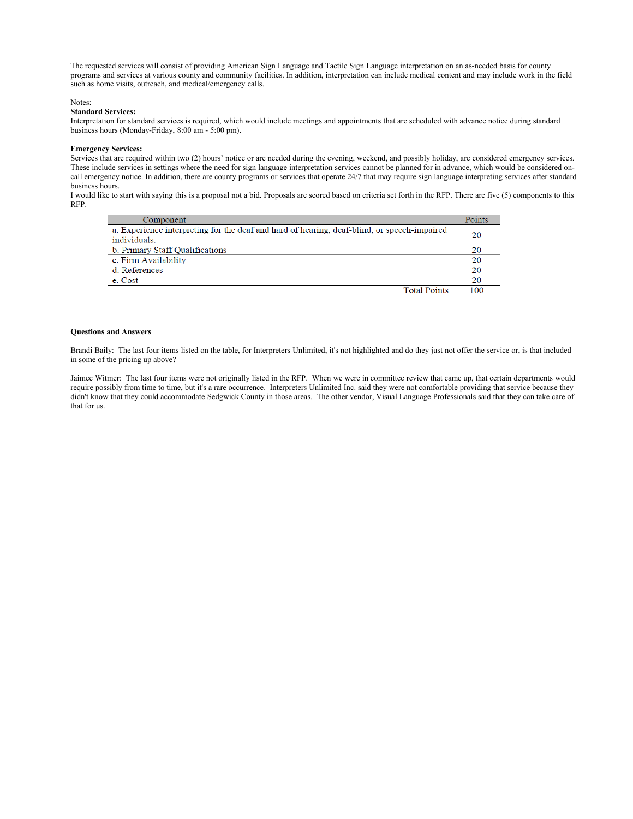The requested services will consist of providing American Sign Language and Tactile Sign Language interpretation on an as-needed basis for county programs and services at various county and community facilities. In addition, interpretation can include medical content and may include work in the field such as home visits, outreach, and medical/emergency calls.

### Notes:

### **Standard Services:**

Interpretation for standard services is required, which would include meetings and appointments that are scheduled with advance notice during standard business hours (Monday-Friday, 8:00 am - 5:00 pm).

### **Emergency Services:**

Services that are required within two (2) hours' notice or are needed during the evening, weekend, and possibly holiday, are considered emergency services. These include services in settings where the need for sign language interpretation services cannot be planned for in advance, which would be considered oncall emergency notice. In addition, there are county programs or services that operate 24/7 that may require sign language interpreting services after standard business hours.

I would like to start with saying this is a proposal not a bid. Proposals are scored based on criteria set forth in the RFP. There are five (5) components to this RFP.

| Component                                                                                   | Points |
|---------------------------------------------------------------------------------------------|--------|
| a. Experience interpreting for the deaf and hard of hearing, deaf-blind, or speech-impaired | 20     |
| individuals.                                                                                |        |
| b. Primary Staff Qualifications                                                             | 20     |
| c. Firm Availability                                                                        | 20     |
| d. References                                                                               | 20     |
| e. Cost                                                                                     | 20     |
| <b>Total Points</b>                                                                         | 100    |

#### **Questions and Answers**

Brandi Baily: The last four items listed on the table, for Interpreters Unlimited, it's not highlighted and do they just not offer the service or, is that included in some of the pricing up above?

Jaimee Witmer: The last four items were not originally listed in the RFP. When we were in committee review that came up, that certain departments would require possibly from time to time, but it's a rare occurrence. Interpreters Unlimited Inc. said they were not comfortable providing that service because they didn't know that they could accommodate Sedgwick County in those areas. The other vendor, Visual Language Professionals said that they can take care of that for us.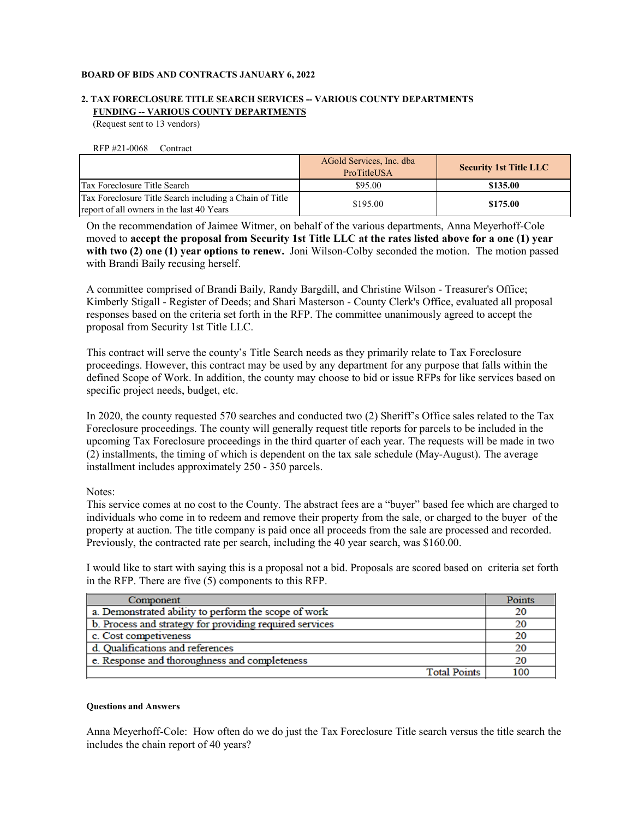## **BOARD OF BIDS AND CONTRACTS JANUARY 6, 2022**

# **2. TAX FORECLOSURE TITLE SEARCH SERVICES -- VARIOUS COUNTY DEPARTMENTS FUNDING -- VARIOUS COUNTY DEPARTMENTS**

(Request sent to 13 vendors)

RFP #21-0068 Contract

|                                                                                                      | AGold Services, Inc. dba<br>ProTitleUSA | <b>Security 1st Title LLC</b> |
|------------------------------------------------------------------------------------------------------|-----------------------------------------|-------------------------------|
| Tax Foreclosure Title Search                                                                         | \$95.00                                 | \$135.00                      |
| Tax Foreclosure Title Search including a Chain of Title<br>report of all owners in the last 40 Years | \$195.00                                | \$175.00                      |

On the recommendation of Jaimee Witmer, on behalf of the various departments, Anna Meyerhoff-Cole moved to **accept the proposal from Security 1st Title LLC at the rates listed above for a one (1) year**  with two (2) one (1) year options to renew. Joni Wilson-Colby seconded the motion. The motion passed with Brandi Baily recusing herself.

A committee comprised of Brandi Baily, Randy Bargdill, and Christine Wilson - Treasurer's Office; Kimberly Stigall - Register of Deeds; and Shari Masterson - County Clerk's Office, evaluated all proposal responses based on the criteria set forth in the RFP. The committee unanimously agreed to accept the proposal from Security 1st Title LLC.

This contract will serve the county's Title Search needs as they primarily relate to Tax Foreclosure proceedings. However, this contract may be used by any department for any purpose that falls within the defined Scope of Work. In addition, the county may choose to bid or issue RFPs for like services based on specific project needs, budget, etc.

In 2020, the county requested 570 searches and conducted two (2) Sheriff's Office sales related to the Tax Foreclosure proceedings. The county will generally request title reports for parcels to be included in the upcoming Tax Foreclosure proceedings in the third quarter of each year. The requests will be made in two (2) installments, the timing of which is dependent on the tax sale schedule (May-August). The average installment includes approximately 250 - 350 parcels.

Notes:

This service comes at no cost to the County. The abstract fees are a "buyer" based fee which are charged to individuals who come in to redeem and remove their property from the sale, or charged to the buyer of the property at auction. The title company is paid once all proceeds from the sale are processed and recorded. Previously, the contracted rate per search, including the 40 year search, was \$160.00.

I would like to start with saying this is a proposal not a bid. Proposals are scored based on criteria set forth in the RFP. There are five (5) components to this RFP.

| Component                                               | Points |  |
|---------------------------------------------------------|--------|--|
| a. Demonstrated ability to perform the scope of work    |        |  |
| b. Process and strategy for providing required services |        |  |
| c. Cost competiveness                                   |        |  |
| d. Qualifications and references                        |        |  |
| e. Response and thoroughness and completeness           |        |  |
| <b>Total Points</b>                                     | 100    |  |

## **Questions and Answers**

Anna Meyerhoff-Cole: How often do we do just the Tax Foreclosure Title search versus the title search the includes the chain report of 40 years?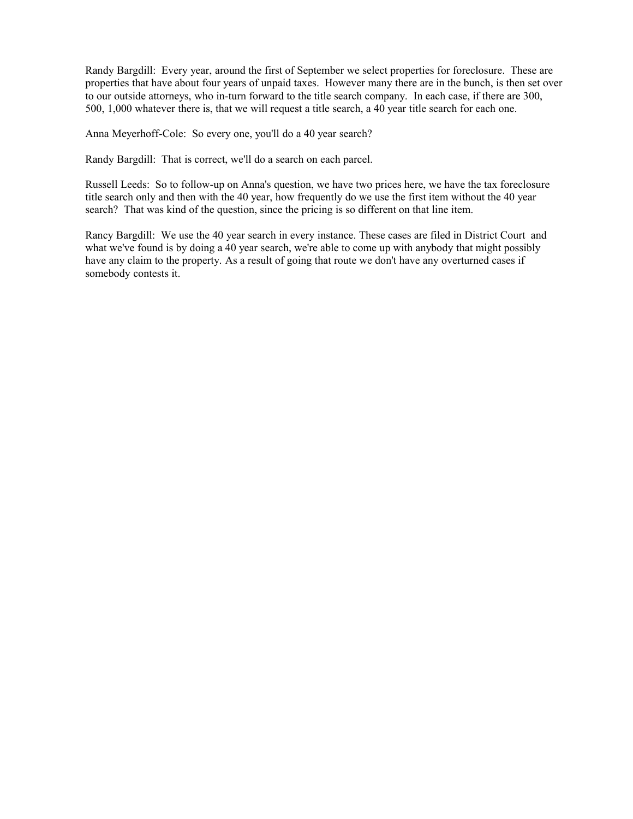Randy Bargdill: Every year, around the first of September we select properties for foreclosure. These are properties that have about four years of unpaid taxes. However many there are in the bunch, is then set over to our outside attorneys, who in-turn forward to the title search company. In each case, if there are 300, 500, 1,000 whatever there is, that we will request a title search, a 40 year title search for each one.

Anna Meyerhoff-Cole: So every one, you'll do a 40 year search?

Randy Bargdill: That is correct, we'll do a search on each parcel.

Russell Leeds: So to follow-up on Anna's question, we have two prices here, we have the tax foreclosure title search only and then with the 40 year, how frequently do we use the first item without the 40 year search? That was kind of the question, since the pricing is so different on that line item.

Rancy Bargdill: We use the 40 year search in every instance. These cases are filed in District Court and what we've found is by doing a 40 year search, we're able to come up with anybody that might possibly have any claim to the property. As a result of going that route we don't have any overturned cases if somebody contests it.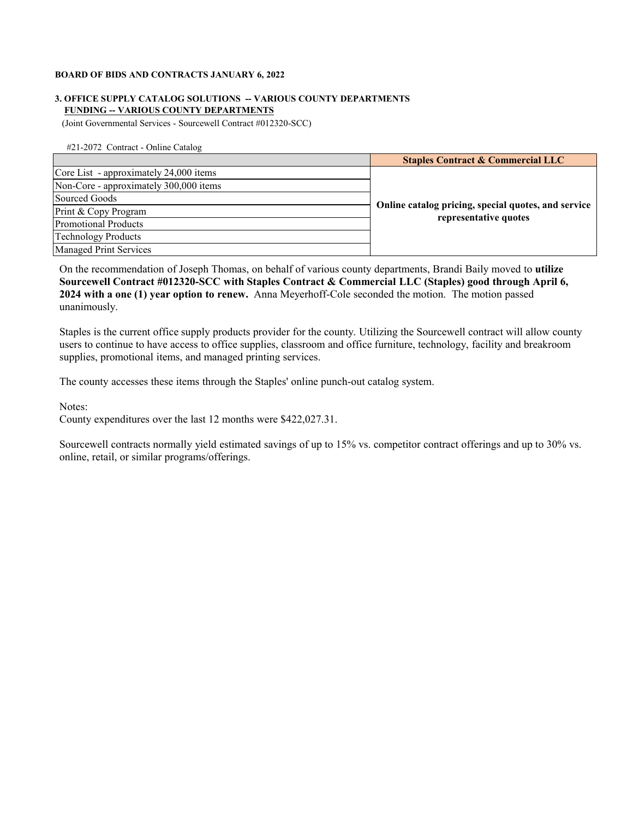## **BOARD OF BIDS AND CONTRACTS JANUARY 6, 2022**

## **FUNDING -- VARIOUS COUNTY DEPARTMENTS 3. OFFICE SUPPLY CATALOG SOLUTIONS -- VARIOUS COUNTY DEPARTMENTS**

(Joint Governmental Services - Sourcewell Contract #012320-SCC)

#21-2072 Contract - Online Catalog

|                                        | <b>Staples Contract &amp; Commercial LLC</b>                                 |
|----------------------------------------|------------------------------------------------------------------------------|
| Core List - approximately 24,000 items |                                                                              |
| Non-Core - approximately 300,000 items |                                                                              |
| Sourced Goods                          | Online catalog pricing, special quotes, and service<br>representative quotes |
| Print & Copy Program                   |                                                                              |
| Promotional Products                   |                                                                              |
| Technology Products                    |                                                                              |
| <b>Managed Print Services</b>          |                                                                              |

On the recommendation of Joseph Thomas, on behalf of various county departments, Brandi Baily moved to **utilize Sourcewell Contract #012320-SCC with Staples Contract & Commercial LLC (Staples) good through April 6, 2024 with a one (1) year option to renew.** Anna Meyerhoff-Cole seconded the motion. The motion passed unanimously.

Staples is the current office supply products provider for the county. Utilizing the Sourcewell contract will allow county users to continue to have access to office supplies, classroom and office furniture, technology, facility and breakroom supplies, promotional items, and managed printing services.

The county accesses these items through the Staples' online punch-out catalog system.

Notes:

County expenditures over the last 12 months were \$422,027.31.

Sourcewell contracts normally yield estimated savings of up to 15% vs. competitor contract offerings and up to 30% vs. online, retail, or similar programs/offerings.